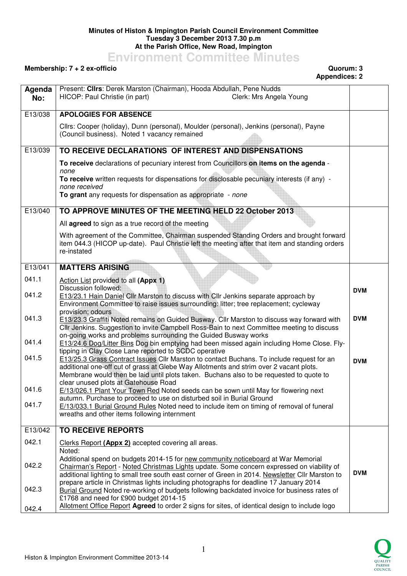## **Minutes of Histon & Impington Parish Council Environment Committee Tuesday 3 December 2013 7.30 p.m At the Parish Office, New Road, Impington**

## **Environment Committee Minutes**

## **Membership: 7 + 2 ex-officio Quorum: 3**

## **Appendices: 2**

| Agenda  | Present: Clirs: Derek Marston (Chairman), Hooda Abdullah, Pene Nudds                                                                                                                                     |            |
|---------|----------------------------------------------------------------------------------------------------------------------------------------------------------------------------------------------------------|------------|
| No:     | HICOP: Paul Christie (in part)<br>Clerk: Mrs Angela Young                                                                                                                                                |            |
| E13/038 | <b>APOLOGIES FOR ABSENCE</b>                                                                                                                                                                             |            |
|         |                                                                                                                                                                                                          |            |
|         | Cllrs: Cooper (holiday), Dunn (personal), Moulder (personal), Jenkins (personal), Payne<br>(Council business). Noted 1 vacancy remained                                                                  |            |
| E13/039 | TO RECEIVE DECLARATIONS OF INTEREST AND DISPENSATIONS                                                                                                                                                    |            |
|         | To receive declarations of pecuniary interest from Councillors on items on the agenda -<br>none                                                                                                          |            |
|         | To receive written requests for dispensations for disclosable pecuniary interests (if any) -<br>none received                                                                                            |            |
|         | To grant any requests for dispensation as appropriate - none                                                                                                                                             |            |
| E13/040 | TO APPROVE MINUTES OF THE MEETING HELD 22 October 2013                                                                                                                                                   |            |
|         | All agreed to sign as a true record of the meeting                                                                                                                                                       |            |
|         | With agreement of the Committee, Chairman suspended Standing Orders and brought forward<br>item 044.3 (HICOP up-date). Paul Christie left the meeting after that item and standing orders<br>re-instated |            |
|         |                                                                                                                                                                                                          |            |
| E13/041 | <b>MATTERS ARISING</b>                                                                                                                                                                                   |            |
| 041.1   | Action List provided to all (Appx 1)<br>Discussion followed:                                                                                                                                             |            |
| 041.2   | E13/23.1 Hain Daniel Cllr Marston to discuss with Cllr Jenkins separate approach by                                                                                                                      | <b>DVM</b> |
|         | Environment Committee to raise issues surrounding: litter; tree replacement; cycleway<br>provision; odours                                                                                               |            |
| 041.3   | E13/23.3 Graffiti Noted remains on Guided Busway. Cllr Marston to discuss way forward with<br>Cllr Jenkins. Suggestion to invite Campbell Ross-Bain to next Committee meeting to discuss                 | <b>DVM</b> |
|         | on-going works and problems surrounding the Guided Busway works                                                                                                                                          |            |
| 041.4   | E13/24.6 Dog/Litter Bins Dog bin emptying had been missed again including Home Close. Fly-<br>tipping in Clay Close Lane reported to SCDC operative                                                      |            |
| 041.5   | E13/25.3 Grass Contract Issues Cllr Marston to contact Buchans. To include request for an                                                                                                                | <b>DVM</b> |
|         | additional one-off cut of grass at Glebe Way Allotments and strim over 2 vacant plots.<br>Membrane would then be laid until plots taken. Buchans also to be requested to quote to                        |            |
|         | clear unused plots at Gatehouse Road                                                                                                                                                                     |            |
| 041.6   | E/13/026.1 Plant Your Town Red Noted seeds can be sown until May for flowering next<br>autumn. Purchase to proceed to use on disturbed soil in Burial Ground                                             |            |
| 041.7   | E/13/033.1 Burial Ground Rules Noted need to include item on timing of removal of funeral                                                                                                                |            |
|         | wreaths and other items following internment                                                                                                                                                             |            |
| E13/042 | <b>TO RECEIVE REPORTS</b>                                                                                                                                                                                |            |
| 042.1   | Clerks Report (Appx 2) accepted covering all areas.                                                                                                                                                      |            |
|         | Noted:                                                                                                                                                                                                   |            |
| 042.2   | Additional spend on budgets 2014-15 for new community noticeboard at War Memorial<br>Chairman's Report - Noted Christmas Lights update. Some concern expressed on viability of                           |            |
|         | additional lighting to small tree south east corner of Green in 2014. Newsletter Cllr Marston to                                                                                                         | <b>DVM</b> |
| 042.3   | prepare article in Christmas lights including photographs for deadline 17 January 2014<br>Burial Ground Noted re-working of budgets following backdated invoice for business rates of                    |            |
|         | £1768 and need for £900 budget 2014-15                                                                                                                                                                   |            |
| 042.4   | Allotment Office Report Agreed to order 2 signs for sites, of identical design to include logo                                                                                                           |            |